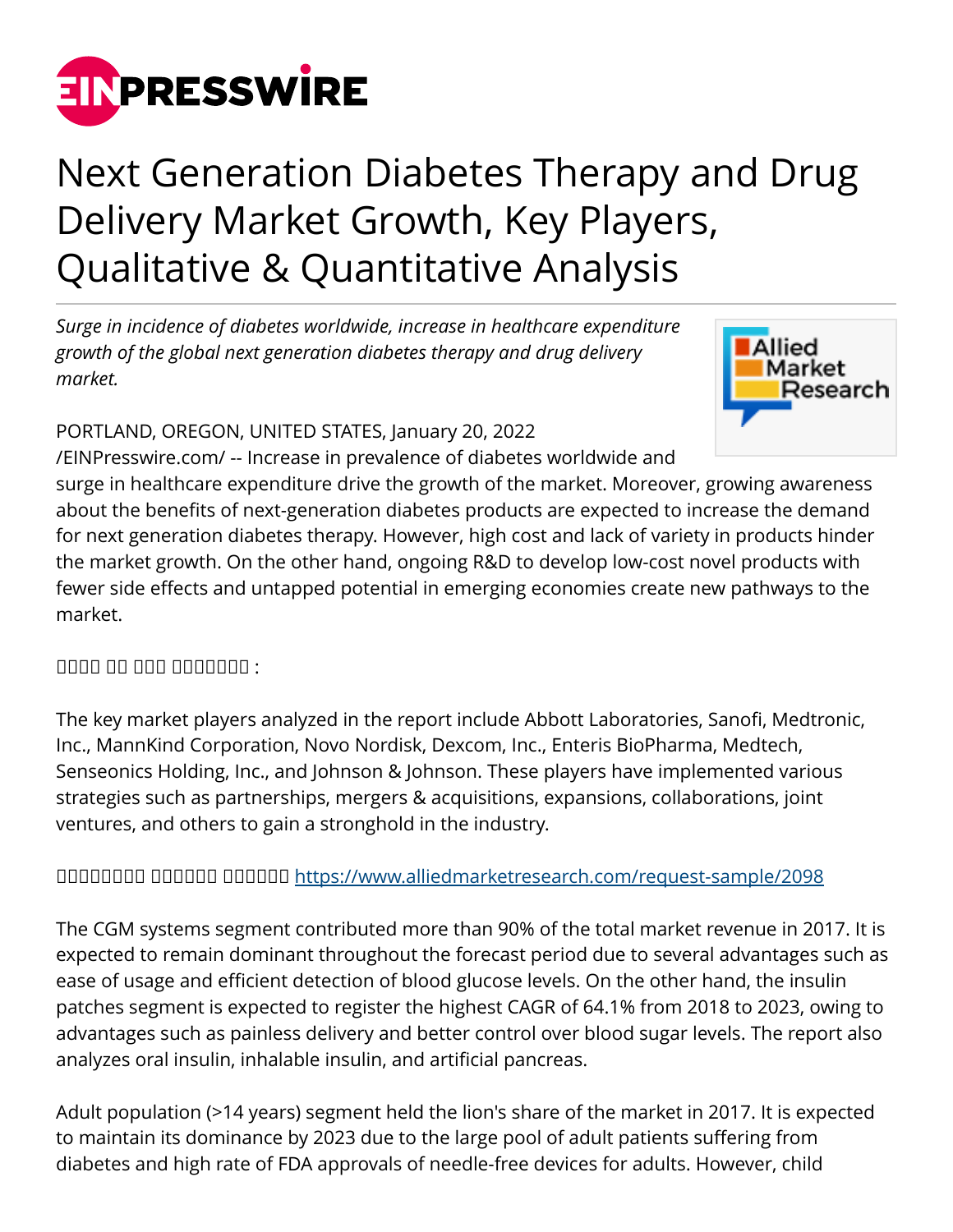

## Next Generation Diabetes Therapy and Drug Delivery Market Growth, Key Players, Qualitative & Quantitative Analysis

*Surge in incidence of diabetes worldwide, increase in healthcare expenditure growth of the global next generation diabetes therapy and drug delivery market.* 



## PORTLAND, OREGON, UNITED STATES, January 20, 2022

[/EINPresswire.com/](http://www.einpresswire.com) -- Increase in prevalence of diabetes worldwide and surge in healthcare expenditure drive the growth of the market. Moreover, growing awareness about the benefits of next-generation diabetes products are expected to increase the demand for next generation diabetes therapy. However, high cost and lack of variety in products hinder the market growth. On the other hand, ongoing R&D to develop low-cost novel products with fewer side effects and untapped potential in emerging economies create new pathways to the market.

 $\Box$ 

The key market players analyzed in the report include Abbott Laboratories, Sanofi, Medtronic, Inc., MannKind Corporation, Novo Nordisk, Dexcom, Inc., Enteris BioPharma, Medtech, Senseonics Holding, Inc., and Johnson & Johnson. These players have implemented various strategies such as partnerships, mergers & acquisitions, expansions, collaborations, joint ventures, and others to gain a stronghold in the industry.

## ᵀᵂᵃᵂᵂᵂᵁᵁ ᵁᵁᵂᵂᵂᵁ ᵁᵁᵂᵂᵂᵂ<https://www.alliedmarketresearch.com/request-sample/2098>

The CGM systems segment contributed more than 90% of the total market revenue in 2017. It is expected to remain dominant throughout the forecast period due to several advantages such as ease of usage and efficient detection of blood glucose levels. On the other hand, the insulin patches segment is expected to register the highest CAGR of 64.1% from 2018 to 2023, owing to advantages such as painless delivery and better control over blood sugar levels. The report also analyzes oral insulin, inhalable insulin, and artificial pancreas.

Adult population (>14 years) segment held the lion's share of the market in 2017. It is expected to maintain its dominance by 2023 due to the large pool of adult patients suffering from diabetes and high rate of FDA approvals of needle-free devices for adults. However, child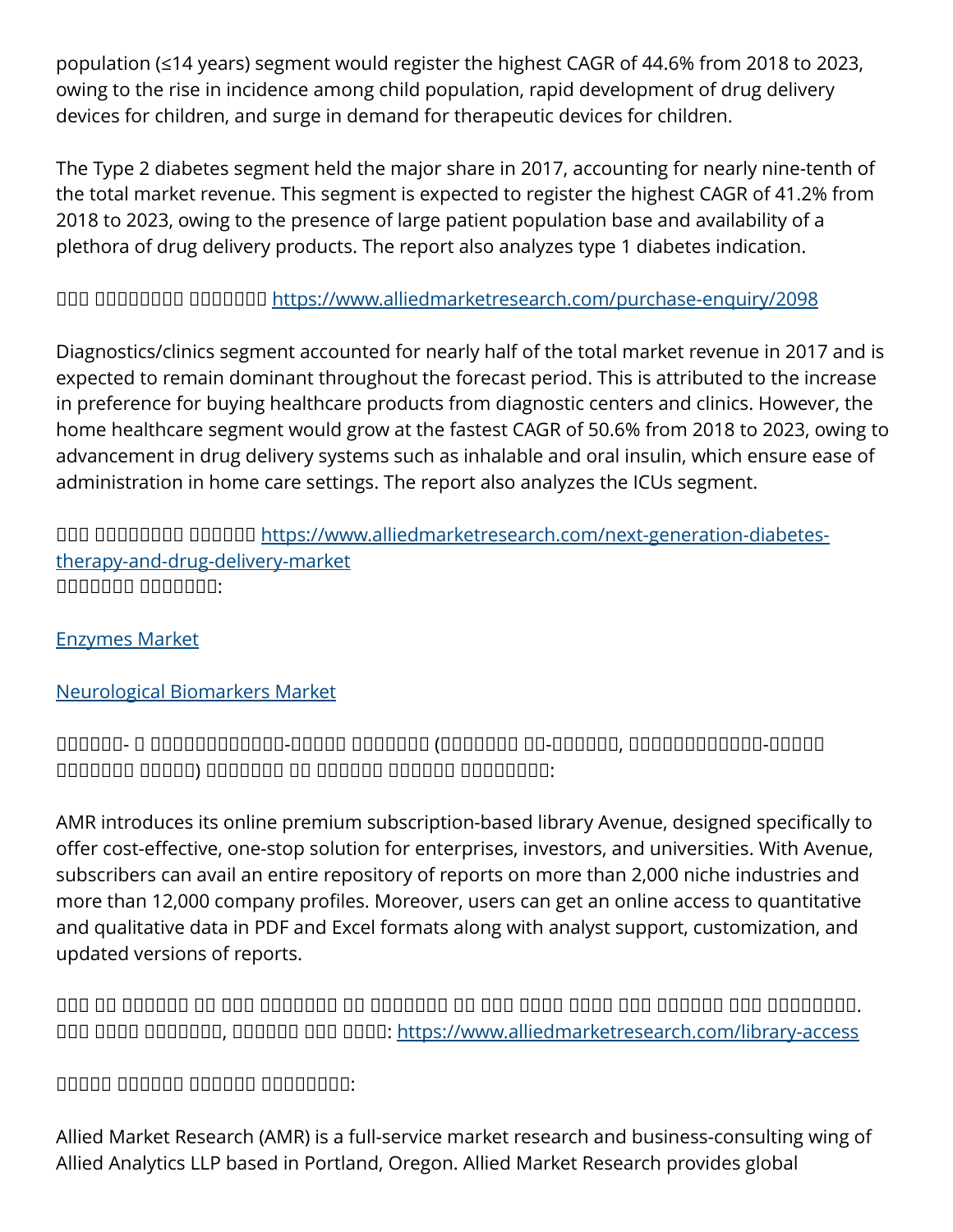population (≤14 years) segment would register the highest CAGR of 44.6% from 2018 to 2023, owing to the rise in incidence among child population, rapid development of drug delivery devices for children, and surge in demand for therapeutic devices for children.

The Type 2 diabetes segment held the major share in 2017, accounting for nearly nine-tenth of the total market revenue. This segment is expected to register the highest CAGR of 41.2% from 2018 to 2023, owing to the presence of large patient population base and availability of a plethora of drug delivery products. The report also analyzes type 1 diabetes indication.

ᵀᵂᵂ ᵀᵂᵂᵁᵂᵁᵂᵁ ᵀᵂᵂᵂᵂᵂᵃ <https://www.alliedmarketresearch.com/purchase-enquiry/2098>

Diagnostics/clinics segment accounted for nearly half of the total market revenue in 2017 and is expected to remain dominant throughout the forecast period. This is attributed to the increase in preference for buying healthcare products from diagnostic centers and clinics. However, the home healthcare segment would grow at the fastest CAGR of 50.6% from 2018 to 2023, owing to advancement in drug delivery systems such as inhalable and oral insulin, which ensure ease of administration in home care settings. The report also analyzes the ICUs segment.

UQU QUQQQQ QQQQQ [https://www.alliedmarketresearch.com/next-generation-diabetes](https://www.alliedmarketresearch.com/next-generation-diabetes-therapy-and-drug-delivery-market)[therapy-and-drug-delivery-market](https://www.alliedmarketresearch.com/next-generation-diabetes-therapy-and-drug-delivery-market) ᵁᵁᵂᵁᵂᵁᵁ ᵁᵁᵂᵂᵂᵂᵂ:

[Enzymes Market](https://www.alliedmarketresearch.com/enzymes-market)

[Neurological Biomarkers Market](https://www.alliedmarketresearch.com/neurological-biomarkers-market)

ᵀᵁᵀᵀᵁᵀ- ᵀ ᵁᵂᵁᵂᵁᵂᵂᵂᵂᵂᵂᵂ-ᵀᵁᵂᵁᵁ ᵀᵂᵁᵂᵁᵂᵃ (ᵀᵂᵁᵂᵂᵂᵂ ᵂᵂ-ᵁᵁᵂᵁᵂᵁ, ᵂᵂᵁᵂᵁᵂᵂᵂᵂᵂᵂᵂ-ᵁᵁᵂᵁᵁ ᵂᵂᵂᵁᵂᵂᵂ ᵂᵂᵁᵁᵂ) ᵀᵁᵁᵁᵂᵁᵁ ᵁᵃ ᵀᵂᵂᵂᵁᵁ ᵀᵁᵂᵂᵁᵂ ᵁᵁᵂᵁᵁᵂᵁᵂ:

AMR introduces its online premium subscription-based library Avenue, designed specifically to offer cost-effective, one-stop solution for enterprises, investors, and universities. With Avenue, subscribers can avail an entire repository of reports on more than 2,000 niche industries and more than 12,000 company profiles. Moreover, users can get an online access to quantitative and qualitative data in PDF and Excel formats along with analyst support, customization, and updated versions of reports.

 $\Box$ ᵀᵂᵂ ᵂᵂᵂᵁ ᵁᵁᵂᵁᵂᵂᵂ, ᵁᵂᵂᵂᵂᵃ ᵂᵂᵁ ᵂᵂᵂᵂ:<https://www.alliedmarketresearch.com/library-access>

 $^{\text{nd}}$ 

Allied Market Research (AMR) is a full-service market research and business-consulting wing of Allied Analytics LLP based in Portland, Oregon. Allied Market Research provides global